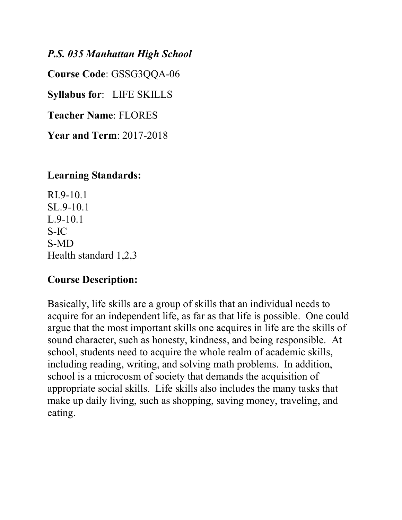#### *P.S. 035 Manhattan High School*

**Course Code**: GSSG3QQA-06

**Syllabus for**: LIFE SKILLS

**Teacher Name**: FLORES

**Year and Term**: 2017-2018

#### **Learning Standards:**

RI.9-10.1 SL.9-10.1 L.9-10.1 S-IC S-MD Health standard 1,2,3

### **Course Description:**

Basically, life skills are a group of skills that an individual needs to acquire for an independent life, as far as that life is possible. One could argue that the most important skills one acquires in life are the skills of sound character, such as honesty, kindness, and being responsible. At school, students need to acquire the whole realm of academic skills, including reading, writing, and solving math problems. In addition, school is a microcosm of society that demands the acquisition of appropriate social skills. Life skills also includes the many tasks that make up daily living, such as shopping, saving money, traveling, and eating.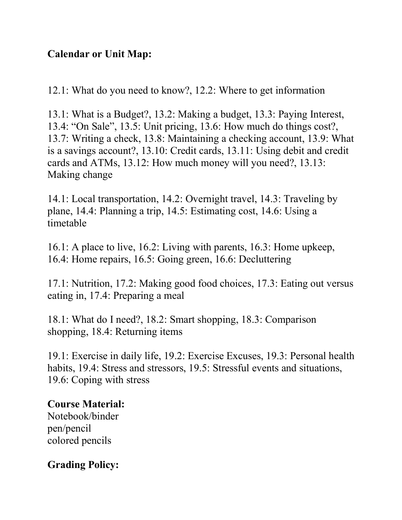# **Calendar or Unit Map:**

12.1: What do you need to know?, 12.2: Where to get information

13.1: What is a Budget?, 13.2: Making a budget, 13.3: Paying Interest, 13.4: "On Sale", 13.5: Unit pricing, 13.6: How much do things cost?, 13.7: Writing a check, 13.8: Maintaining a checking account, 13.9: What is a savings account?, 13.10: Credit cards, 13.11: Using debit and credit cards and ATMs, 13.12: How much money will you need?, 13.13: Making change

14.1: Local transportation, 14.2: Overnight travel, 14.3: Traveling by plane, 14.4: Planning a trip, 14.5: Estimating cost, 14.6: Using a timetable

16.1: A place to live, 16.2: Living with parents, 16.3: Home upkeep, 16.4: Home repairs, 16.5: Going green, 16.6: Decluttering

17.1: Nutrition, 17.2: Making good food choices, 17.3: Eating out versus eating in, 17.4: Preparing a meal

18.1: What do I need?, 18.2: Smart shopping, 18.3: Comparison shopping, 18.4: Returning items

19.1: Exercise in daily life, 19.2: Exercise Excuses, 19.3: Personal health habits, 19.4: Stress and stressors, 19.5: Stressful events and situations, 19.6: Coping with stress

### **Course Material:**

Notebook/binder pen/pencil colored pencils

# **Grading Policy:**